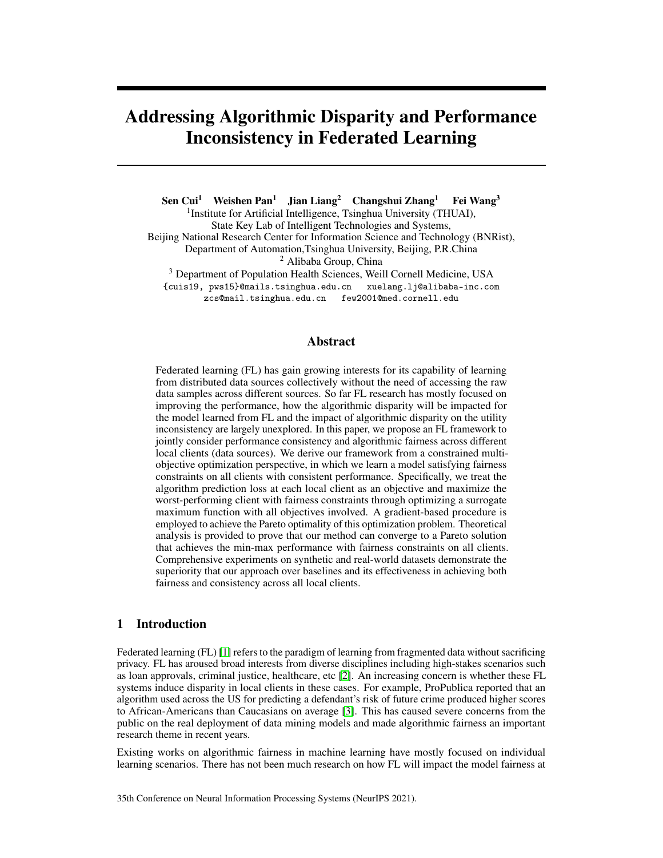# Addressing Algorithmic Disparity and Performance Inconsistency in Federated Learning

Sen Cui<sup>1</sup> Weishen Pan<sup>1</sup> Jian Liang<sup>2</sup> Changshui Zhang<sup>1</sup> Fei Wang<sup>3</sup> <sup>1</sup> Institute for Artificial Intelligence, Tsinghua University (THUAI), State Key Lab of Intelligent Technologies and Systems, Beijing National Research Center for Information Science and Technology (BNRist), Department of Automation,Tsinghua University, Beijing, P.R.China <sup>2</sup> Alibaba Group, China <sup>3</sup> Department of Population Health Sciences, Weill Cornell Medicine, USA {cuis19, pws15}@mails.tsinghua.edu.cn xuelang.lj@alibaba-inc.com zcs@mail.tsinghua.edu.cn few2001@med.cornell.edu

### Abstract

Federated learning (FL) has gain growing interests for its capability of learning from distributed data sources collectively without the need of accessing the raw data samples across different sources. So far FL research has mostly focused on improving the performance, how the algorithmic disparity will be impacted for the model learned from FL and the impact of algorithmic disparity on the utility inconsistency are largely unexplored. In this paper, we propose an FL framework to jointly consider performance consistency and algorithmic fairness across different local clients (data sources). We derive our framework from a constrained multiobjective optimization perspective, in which we learn a model satisfying fairness constraints on all clients with consistent performance. Specifically, we treat the algorithm prediction loss at each local client as an objective and maximize the worst-performing client with fairness constraints through optimizing a surrogate maximum function with all objectives involved. A gradient-based procedure is employed to achieve the Pareto optimality of this optimization problem. Theoretical analysis is provided to prove that our method can converge to a Pareto solution that achieves the min-max performance with fairness constraints on all clients. Comprehensive experiments on synthetic and real-world datasets demonstrate the superiority that our approach over baselines and its effectiveness in achieving both fairness and consistency across all local clients.

# 1 Introduction

Federated learning (FL) [\[1\]](#page-9-0) refers to the paradigm of learning from fragmented data without sacrificing privacy. FL has aroused broad interests from diverse disciplines including high-stakes scenarios such as loan approvals, criminal justice, healthcare, etc [\[2\]](#page-9-1). An increasing concern is whether these FL systems induce disparity in local clients in these cases. For example, ProPublica reported that an algorithm used across the US for predicting a defendant's risk of future crime produced higher scores to African-Americans than Caucasians on average [\[3\]](#page-9-2). This has caused severe concerns from the public on the real deployment of data mining models and made algorithmic fairness an important research theme in recent years.

Existing works on algorithmic fairness in machine learning have mostly focused on individual learning scenarios. There has not been much research on how FL will impact the model fairness at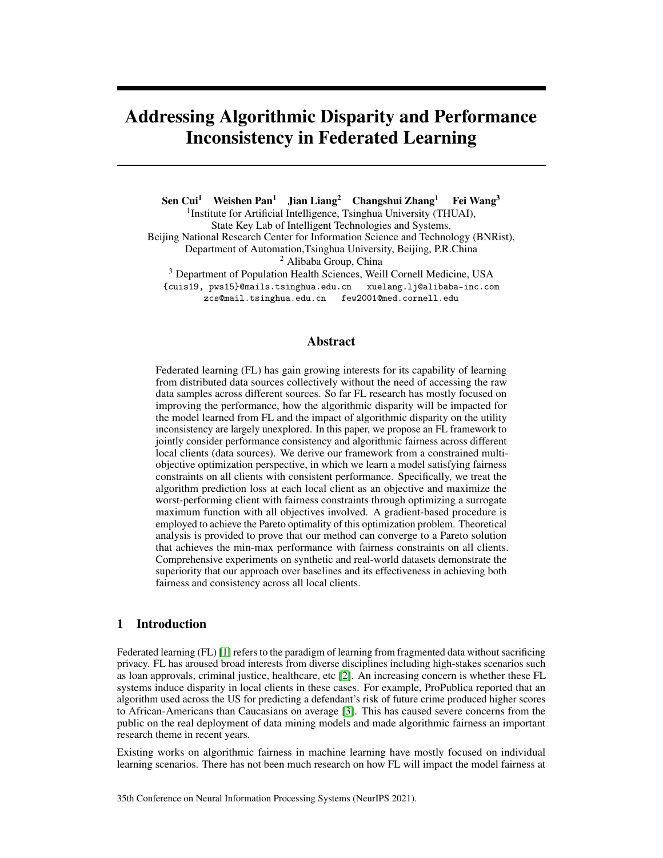different local clients<sup>[1](#page-1-0)</sup>. Recently, Du *et al.* [\[6\]](#page-9-3) proposed a fairness-aware method, which considered the global fairness of the model learned through a kernel re-weighting mechanism. However, such a mechanism can not guarantee to achieve fairness at local clients in FL scenario, since different clients will have different distributions across protected groups. For example, if we are building a mortality prediction model for COVID-19 patients within a hospital system [\[7\]](#page-9-4), where each individual hospital can be viewed as a local client. Different hospitals will have different patient populations with distinct demographic compositions including race or gender. In this case, the model fairness at each hospital is important because that's where the model will be deployed, and it is unlikely that global model fairness can lead to local model fairness.

Due to the potential trade-off between algorithmic fairness and model utility, one aiming to mitigate the algorithmic disparity on local clients can exacerbate the inconsistency of the model performance (i.e., the model performance is different at different local clients). There have been researches [\[4,](#page-9-5) [5\]](#page-9-6) trying to address the inconsistency without considering algorithmic fairness. In particular, Mohri *et al.* [\[5\]](#page-9-6) proposed an agnostic federated learning (AFL) algorithm that maximizes the performance of the worst performing client. Li *et al.* [\[4\]](#page-9-5) proposed a q-Fair Federated Learning (q-FFL) approach to weigh different local clients differently by taking the  $q$ -th power of the local empirical loss when constructing the optimization objective of the global model.

In this paper, we consider the problem of enforcing both algorithmic fairness and performance consistency across all local clients in FL. Specifically, suppose we have  $N$  local clients, and  $u_i$ represents the model utility for client i, and  $g_i$  is the model disparity quantified by some computational fairness metric (e.g., demographic parity [\[8\]](#page-9-7) or equal opportunity [\[9\]](#page-9-8)). Following the idea of AFL, we can maximize the utility of the worst-performed client to achieve performance consistency. We also propose to assign each client a "fairness budget" to ensure certain level of local fairness, i.e.,  $q_i \in \epsilon_i(\mathcal{G}_i = 1, 2, \dots, N)$  with  $\epsilon_i$  being a pre-specified fairness budget for client *i*. Therefore, we  $g_i$   $\epsilon_i(8i = 1, 2, \dots, N)$  with  $\epsilon_i$  being a pre-specified fairness budget for client i. Therefore, we can formulate our problem as a constrained multi-objective optimization framework as shown in Figure [1\(a\),](#page-4-0) where each local model utility can be viewed as an optimization objective.

Since models with fairness and min-max performance may be not unique, we also require the model to be Pareto optimal. A model is Pareto optimal if and only if the utility of any client cannot be further optimized without degrading some others. A Pareto optimal solution of this problem cannot be achieved by existing linear scalarization methods in federated learning (e.g., federated average, or FedAve in [\[10\]](#page-9-9)), as the non-i.i.d data distributions across different clients can cause a non-convex Pareto Front of utilities (all Pareto solutions form Pareto Front). Therefore, we propose FCFL, a new federated learning framework to obtain a fair and consistent model for all local clients. Specifically, we first utilize a surrogate maximum function  $(SMF)$  that considers the  $N$  utilities involved simultaneously instead of the single worst, and then optimize the model to achieve Pareto optimality by controlling the gradient direction without hurting client utilities. Theoretical analysis proves that our method can converge to a fairness-constrained Pareto min-max model and experiments on both synthetic and real-world data sets show that FCFL can achieve a Pareto min-max utility distribution with fairness guarantees in each client. The source codes of FCFL are made publicly available at <https://github.com/cuis15/FCFL>.

# 2 Related Work

Algorithm fairness is defined as the disparities in algorithm decisions made across groups formed by protected variables (such as gender and race). Some approaches have been proposed to mathematically define if an algorithm is fair. For example, demographic parity [\[8\]](#page-9-7) requires the classification results to be independent of the group memberships and equalized opportunity [\[9\]](#page-9-8) seeks for equal false negative rates across different groups. Besides, there are also recent works focusing on the interpretation of the source of model disparity [\[11\]](#page-9-10). Plenty of approaches have been proposed to reduce model disparity. One type of method is to train a classifier first and then post-adjust the prediction by setting different thresholds for different groups [\[9\]](#page-9-8) or learning a transformation function [\[12,](#page-10-0) [13\]](#page-10-1). Other methods have been developed for optimization of fairness metrics during the model training process through adversarial learning [\[14,](#page-10-2) [15,](#page-10-3) [16,](#page-10-4) [17,](#page-10-5) [18\]](#page-10-6) or regularization [\[19,](#page-10-7) [20,](#page-10-8) [21\]](#page-10-9). Du *et al.* [\[6\]](#page-9-3) considered algorithm fairness in the federated learning setting and proposed a regularization method that assigns

<span id="page-1-0"></span><sup>&</sup>lt;sup>1</sup>We would like to emphasize that the algorithmic fairness we studied in this paper is not the federated fairness studied in [\[4\]](#page-9-5) and [\[5\]](#page-9-6), as their fairness is referring to the performance at different clients, which is consistency.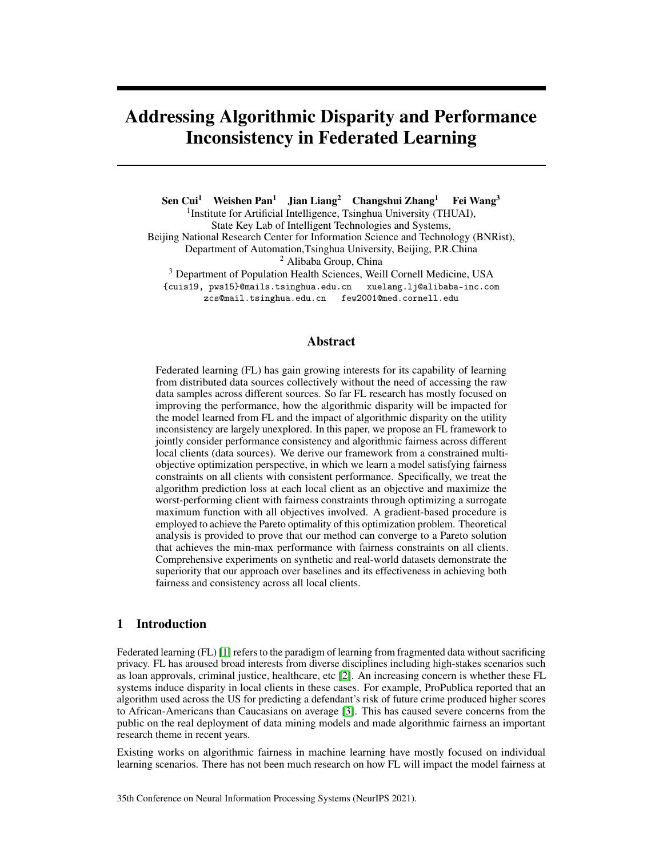a reweighing value on each training sample for loss objective and fairness regularization to deal with the global disparity. This method cannot account for the discrepancies among the model disparities at different local clients. In this paper, we propose to treat fairness as a constraint and optimize a multi-objective optimization with multiple fairness constraints for all clients while maximally maintain the model utility.

As we introduced in the introduction, the global consensus model learned from federated learning may have different performances on different clients. There are existing research trying to address such inconsistency issue by maximizing the utility of the worst-performing client. In particular, Li *et al.* [\[4\]](#page-9-5) propose q-FFL to obtain a min-max performance of all clients by empirically adjusting the power of the objectives, which cannot always guarantee a more consistent model utility distribution without sufficient searching for appropriate power values. Mohri *et al.* [\[5\]](#page-9-6) propose AFL, a min-max optimization scheme which focuses on the single worst client. However, focusing on the single worst objective can cause another client to perform worse, thus we propose to take all objectives into account and optimize a surrogate maximum function to achieve a min-max performance distribution in this paper.

Multi-objective optimization aims to learn a model that gives consideration to all objectives involved. The optimization methods for multi-objective typically involve linear scalarization or its variants, such as those with adaptive weights [\[22\]](#page-10-10), but it is challenging for these approaches to handling the competing performance among different clients [\[23\]](#page-10-11). Martinez *et al.* [\[24\]](#page-10-12) proposed a multiobjective optimization framework called Min-Max Pareto Fairness (MMPF) to achieve consistency by inducing a min-max performance of all groups based on convex assumption, which is fairly strong as non-convex objectives are ubiquitous. In this paper, we formulate the problem of achieving both fairness and consistency in federated networks through constrained multi-objective optimization. Previous research on solving this problem has been mostly focusing on gradient-free algorithms such as evolutionary algorithms [\[25\]](#page-10-13), physics-based and deterministic approaches [\[26\]](#page-10-14). Gradient-based methods are still under-explored [\[27\]](#page-10-15). We propose a novel gradient-based method FCFL , which searches for the desired gradient direction iteratively by solving constrained Linear Programming (LP) problems to achieve fairness and consistency simultaneously in federated networks.

### 3 Problem Setup

The problem to be solved in this paper is formally defined in this section. Specifically, we will introduce the algorithmic fairness problem, how to extend existing fairness criteria to federated setting, and the consistency issues of model utility in federated learning.

### 3.1 Preliminaries

**Federated Learning.** Suppose there are N local clients  $c_1, c_2, ... c_N$  and each client is associated with a specific dataset  $D^k = \{X^k, Y^k\}, k \geq \{1, 2, ..., Ng$ , where the input space  $X^k$  and output space  $Y^k$ are shared across all N clients. There are  $n^k$  samples in the k-th client and each sample is denoted as  ${x_i^k, y_i^k}$ . The goal of the federated learning is to collaboratively learn a global model h with the parameters  $\theta$  to predict the label  $\hat{Y}^k$  as on each client. The classical federated learning aims to minimize the empirical risk over the samples from all clients i.e.,  $\min_{\theta}$   $\frac{1}{\sum_{k=1}^{N} n^k} \sum_{k=1}^{N} \sum_{i=1}^{n^k} l_k(h_\theta(x_i^k), y_i^k)$ where  $l_k$  is the loss objective of the k-th client.

Fairness. Fairness refers to the disparities in the algorithm decisions made across different groups formed by the sensitive attribute, such as gender and race. If we denote the dataset on the  $k$ -th client as  $D^k = \{X^k, A^k, Y^k\}$ , where  $A^k \, 2 \, \overline{A}$  is the binary sensitive attribute, then we can define the multi-client fairness as follows:

<span id="page-2-0"></span>Definition 1 (Multi-client fairness (MCF)). *A learned model* h *achieves multi-client fairness if* h *meets the following condition:*

$$
Dis_k(h) \quad \epsilon_k \quad 0 \quad Sk \; 2 \; f1,., Ng \tag{1}
$$

where  $Dis_k(h)$  denotes the disparity induced by the model h and  $\epsilon_k$  is the given fairness budget of the k-th client. The disparity on the k-th client Dis<sup>k</sup> can be measured by *demographic parity*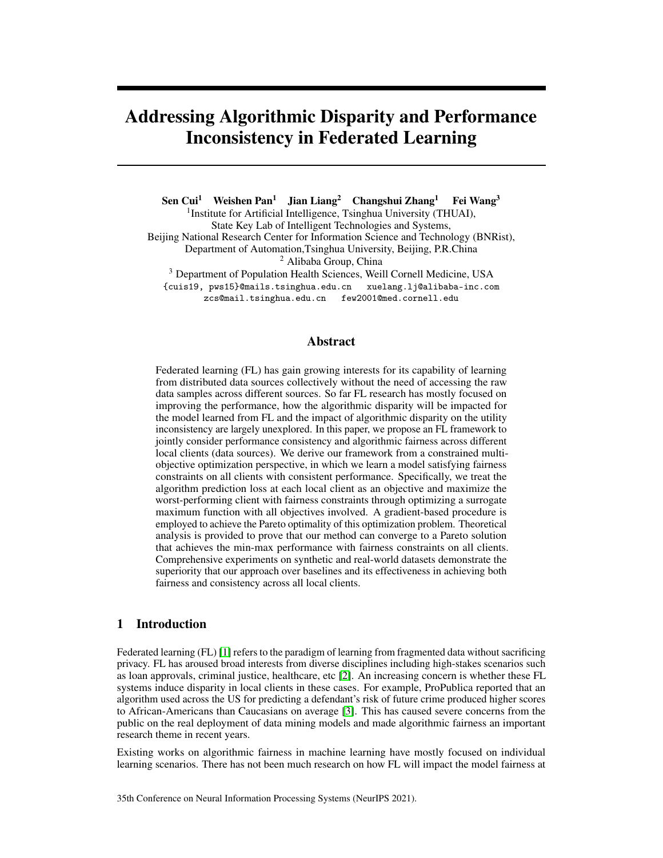(DP) [\[8\]](#page-9-7) and *Equal Opportunity* (EO) [\[9\]](#page-9-8) as follows:

<span id="page-3-0"></span>
$$
DP_k = jP(\hat{Y}^k = 1jA^k = 0) \qquad P(\hat{Y}^k = 1jA^k = 1)j
$$
  
\n
$$
EO_k = jP(\hat{Y}^k = 1jA^k = 0, Y^k = 1) \qquad P(\hat{Y}^k = 1jA^k = 1, Y^k = 1)j
$$
\n(2)

As data heterogeneity may cause different disparities across all clients, the fairness budgets  $\epsilon_k$  in Definition [3.1](#page-2-0) specifies the tolerance of model disparity at the  $k$ -th client.

Consistency. Due to the discrepancies among data distributions across different clients, the model performance on different clients could be different. Morever, the inconsistency will be magnified when we adjust the model to be fair on local clients. There are existing research trying to improve the model consistency by maximizing the utility of the worst performing client [\[4,](#page-9-5) [5\]](#page-9-6):

$$
\min_{\theta} \max_{k \geq \tau_{1,..,N}} \frac{1}{n^k} \sum_{i=1}^{n^k} l_k(h_{\theta}(x_i^k), y_i^k)
$$

where the max is over the losses across all clients.

### 3.2 Fair and Consistent Federated Learning (FCFL)

Our goal is to learn a model h which 1) satisfies MCF as we defined in Definition [3.1;](#page-2-0) 2) maintains consistent performances across all clients. We will use  $DP_k$  defined in Eq.[\(2\)](#page-3-0) as measurement of disparity in our main text while the same derivations can be developed when adapting other metrics, so we have  $g_k(h(X^k), A^k) = DP_k$ , and  $g_k$  is the function of calculating model disparity on the k-th client. Similarly, the model utility loss  $l_k(h(X^k), Y^k)$  can be evaluated by different metrics (such as cross-entropy, hinge loss and squared loss, etc). In the rest of this paper we will use  $l_k(h) (g_k(h))$ for  $l_k(h(X^k), Y^k)$   $(g_k(h(X^k), A^k))$  without causing further confusions. We formulate FCFLas the problem of optimizing the N utility-related objectives  $\mathcal{H}_1(h)$ ,  $l_2(h)$ , ...,  $l_N(h)$ g to achieve **Pareto Min-Max** performance with  $N$  fairness constraints:

$$
\min_{h \ge H} \left[ l_1(h), l_2(h), \ldots l_N(h) \right] \quad \text{s.t. } g_k(h) \quad \epsilon_k \quad 0 \quad \text{Sk} \ge \text{f1}, \ldots, Ng. \tag{3}
$$

The definitions of *Pareto Solution* and *Pareto Front*, which are fundamental concepts in multi-objective optimization, are as follows:

<span id="page-3-1"></span>**Definition 2** (Pareto Solution and Pareto Front). *Suppose*  $l(h) = [l_1(h), l_2(h), ... l_N(h)]$  *represents the utility loss vector on* N *learning tasks with hypothesis* h 2 H*, we say* h *is a Pareto Solution if there is no hypothesis* h 0 *that dominates* h*:* h <sup>0</sup> h*, i.e.,*

 $\mathscr{D}h^0 \supseteq H$ , s.t.  $\mathscr{B}i : l_i(h^0) = l_i(h)$  and  $\mathscr{D}j : l_j(h^0) < l_j(h)$ .

*All Pareto solutions form Pareto Front* P*.*

From Definition [2,](#page-3-1) for a given hypothesis set H and the objective vector  $l(h)$ , the Pareto solution avoids unnecessary harm to client utilities and may not be unique. We prefer a Pareto solution that achieves a higher consistency. Following the work in [\[4,](#page-9-5) [5\]](#page-9-6), we want to obtain a Pareto solution  $h$ with min-max performance. Figure [1\(b\)](#page-4-1) shows the relationships among different model hypothesis sets, and we explain the meanings of different notations therein as follows:

(1)  $H<sup>F</sup>$  is the set of model hypotheses satisfying MCF, i.e.,

$$
g_k(h) \quad \epsilon_k \quad 0 \quad 8k \quad 2 \quad \text{f1}, \quad Ng, \quad 8h \quad 2 \quad \text{H}^F.
$$

(2)  $H^{FU}$  is the set of model hypotheses achieving min-max performance (consistency) with MCF:

$$
H^{FU} \quad H^F \quad \text{and} \quad l_{max}(h^0) \quad l_{max}(h), \; \partial h \; 2 \; H^F, \; \partial h^0 \; 2 \; H^{FU}.\tag{4}
$$

(3)  $H<sup>FP</sup>$  is the set of model hypotheses achieving Pareto optimality with MCF:

$$
H^{FP} \t H^F \t (5a)
$$

$$
h^0 \quad h, \; Sh^0 \; 2 \; H^F, \; Sh \; 2 \; H^{FP} \tag{5b}
$$

where Eq.[\(5a\)](#page-2-0) satisfies  $8h \n\supset H^{FP}$  meets MCF, and Eq.[\(5b\)](#page-3-0) ensures that  $8h \supset H^{FP}$  is a Pareto model with MCF.

(4)  $H$  is our desired set of model hypotheses achieving Pareto optimality and min-max performance with MCF:  $H = H^{FP} \setminus H^{FU}$ .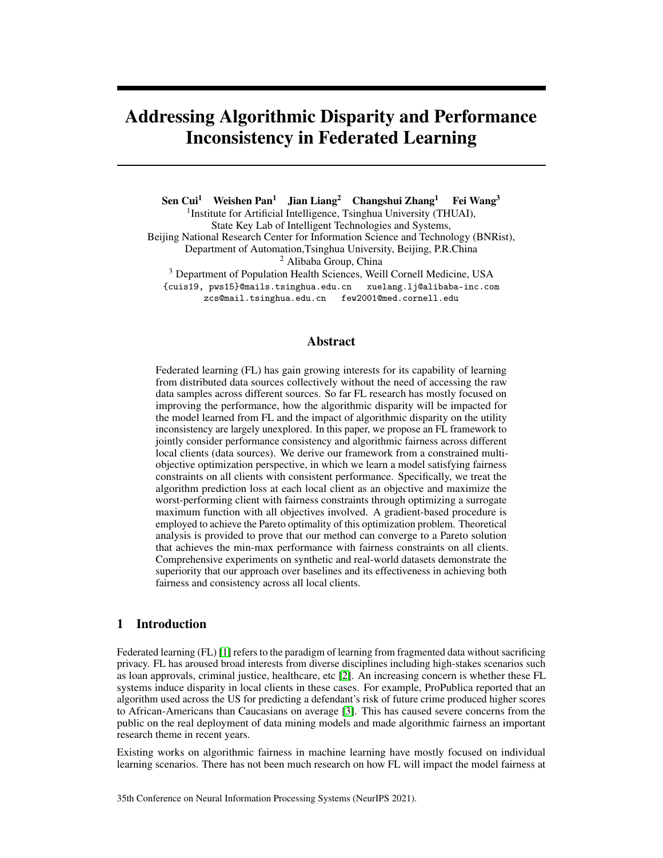<span id="page-4-0"></span>

Figure 1: (a) The architecture of our proposed fairness-constrained min-max problem. (b) The relationship of the 5 hypothesis sets involved and  $H = H^{FP} \setminus H^{FU}$  is the desired hypothesis set. (c) Two optimization paths to achieve a fair Pareto min-max model: 1)  $h^0$  !  $H^{FP}$  !  $H$  : the gray dotted line represents that the initial model  $h^0$  first achieves Pareto optimality with MCF then achieves min-max performance; 2)  $h^0$  !  $H^{FU}$  ! H : the black solid line denotes that the initial model  $h^0$  first achieves min-max performance with MCF then achieves Pareto optimality.

Theorem 1. *(proof in Appendix) The hypothesis set* H *is non-empty, i.e.,*

<span id="page-4-3"></span><span id="page-4-2"></span><span id="page-4-1"></span>
$$
9h\ 2\ H, h\ 2\ H\ .
$$

In summary, from Theorem [1,](#page-4-2) our goal is to obtain a fair and consistent model  $h \nightharpoonup H$  to achieve Pareto optimality and min-max performance with MCF.

### 4 Fairness-Constrained Min-Max Pareto Optimization

### 4.1 Preliminary: Gradient-based Multi-Objective Optimization

Pareto solutions of the multi-objective optimization problem can be reached by gradient descent procedures. Specifically, given the initial hypothesis h with parameter  $\theta^0 \supseteq \mathbb{R}^n$ , we optimize  $h_{\theta^t}$  by moving to a specific gradient direction d with a step size  $\eta$ :  $\theta^{t+1} = \theta^t + \eta d$ . d is a descent direction if it decreases the objectives  $(l_i(h_{\theta^{t+1}}), \theta_i)$ . Suppose  $\theta_i$  is the gradient of the *i*-th objective  $l_i$  with respect to the parameter  $\theta$ , if we select d which satisfies d  $T \rho l_i$ 0 for all  $i$ . d is a descent direction and  $l_i(h_{\theta^t})$  decreases after the  $t + 1$  iteration.

If we directly search for the descent direction d to achieve  $d^T f \theta l_i = 0$ ,  $\theta i$ , the computation cost can be tremendous when d is a high-dimensional vector. Désidéri *et al.* [\[28\]](#page-10-16) proposed to find a descent direction d in the convex hull of the gradients of all objectives denoted as  $G = [r_{\theta}l_1, r_{\theta}l_2, ... r_{\theta}l_N]$ <br>by searching for a N-dimension vector  $\alpha$  (typically N n in deep model), which is formulated as by searching for a N-dimension vector  $\alpha$  (typically N follows:

<span id="page-4-4"></span>
$$
d = \alpha^T G \ 2 \overline{G}
$$
 where  $\overline{G} = \left\{ \sum_{i=1}^N \alpha_i \Gamma_{\theta} l_i \ j \alpha_j \quad 0 \ \text{Sj and } \sum_{j=1}^N \alpha_j = 1 \right\}.$  (7)

#### 4.2 Overview of the Optimization Framework

To obtain a **fair Pareto min-max** model, there are two optimization paths shown in Figure [1\(c\).](#page-4-3) The gray dotted line denotes the optimization path where we first achieve Pareto optimality with MCF, then we try to achieve min-max performance while keeping Pareto optimality. However, it's hard to adjust a Pareto model to another [\[23\]](#page-10-11). Therefore, we propose to first achieve min-max performance with MCF then achieve Pareto optimality as the black solid line in Figure [1\(c\).](#page-4-3) In particular, we propose a two-stage optimization method for this constrained multi-objective problem: 1) constrained min-max optimization to achieve a fair min-max model; 2) constrained Pareto optimization to continue to optimize the model to achieve Pareto optimality while keeping min-max performance with MCF.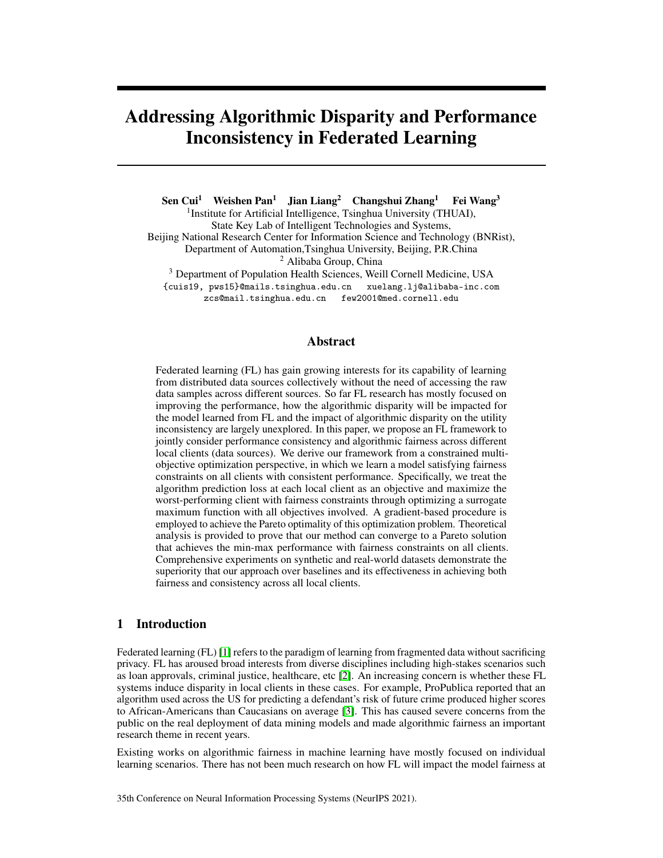Constrained Min-Max Optimization We define a constrained min-max optimization problem on the hypothesis set  $H$ :

<span id="page-5-0"></span>
$$
\min_{h \ge H} l_{max}(h)
$$
\n
$$
l_{max}(h) = \max(l_i(h)) \quad i \ge \mathcal{F}1,.., Ng
$$
\n
$$
\text{s.t.} \quad g_{max}^{\theta}(h) = 0
$$
\n
$$
g_{max}^{\theta}(h) = \max(g_i^{\theta}(h)) = \max(g_i(h) - \epsilon_i) \quad i \ge \mathcal{F}1,.., Ng
$$
\n(8)

where  $\epsilon_i$  is the given fairness budget on the *i*-th client. By optimizing the constrained objective in Eq.[\(8\)](#page-5-0), we obtain a model  $h^1$  2  $\overline{H}^{U}$  that 1)  $h^1$  satisfies MCF; 2)  $h^1$  achieves the optimal utility on the worst performing client.

Constrained Pareto Optimization Caring only about the utility of the worst-performing client can lead to unnecessary harm to other clients since the rest objectives can be further optimized. Therefore, we then continue to optimize  $h^1$  2  $H^{FU}$  to achieve Pareto optimality:

$$
\min_{h\geq H} \frac{1}{N} \sum_{i=1}^{N} l_i(h) \tag{9a}
$$

$$
\text{s.t. } l_i(h) \quad l_i(h^1) \quad \text{Si } \geq f \mathbf{1}, \dots Ng \tag{9b}
$$

<span id="page-5-6"></span><span id="page-5-4"></span><span id="page-5-2"></span><span id="page-5-1"></span>
$$
g_{max}^{\theta}(h) \qquad 0 \tag{9c}
$$

$$
g_{max}^{\theta}(h) = \max(g_i^{\theta}(h)) = \max(g_i(h) - \epsilon_i) \quad i \geq \theta_1,.., Ng
$$
 (9d)

where we optimize  $h$  without hurting the model utility on any client so that the converged Pareto model h of Eq.[\(9\)](#page-5-1) satisfies  $l_{max}(h)$   $l_{max}(h^1)$ . Morever, h satisfies MCF as the constraint in Eq.[\(9c\)](#page-5-2), so  $h \nightharpoonup 2$  H is a Pareto min-max model with N fairness constraints on all clients.

### <span id="page-5-7"></span>4.3 Achieving Min-Max Performance with MCF

Minimizing the current maximum value of all objectives directly in Eq.[\(8\)](#page-5-0) can cause another worse objective and can be computationally hard when faced with a tremendous amount of clients. We will use  $l_m(h)$   $(g_m^{\theta}(h))$  to denote  $l_{max}(h)$   $(g_{max}^{\theta}(h))$  without causing further confusions for expression simplicity. We propose to use a smooth surrogate maximum function (SMF) [\[29\]](#page-10-17) to approximate an upper bound of  $l_m(h)$  and  $g_m(h)$  as follows:

$$
\hat{l}_m(h, \delta_l) = \delta_l \ln \sum_{i=1}^N \exp\left(\frac{l_i(h)}{\delta_l}\right), \ \hat{g}^{\vartheta}_m(h, \delta_g) = \delta_g \ln \sum_{i=1}^N \exp\left(\frac{g_i^{\vartheta}(h)}{\delta_g}\right), \ (\delta_g, \delta_l > 0). \tag{10}
$$

It is obvious that  $l_m(h)$   $\hat{l}_m(h, \delta_l)$   $l_m(h) + \delta_m \ln(N)$  and  $\lim_{\delta_l \to 0^+} \hat{l}_m(h(x), \delta_l) = l_m(h)$ . For  $\hat{g}^0_m(h, \delta_g)$ , we can get a similar conclusion. The objective in Eq.[\(8\)](#page-5-0) is approximated as follows:

$$
\min_{h \ge H} \hat{l}_m(h, \delta_l) \tag{11a}
$$

<span id="page-5-5"></span>
$$
\text{s.t.} \quad \hat{g}^{\theta}{}_{m}(h, \delta_{g}) \qquad 0. \tag{11b}
$$

<span id="page-5-3"></span>Property 1. *There always exists an initial trivial model which satisfies the MCF criterion by treating all samples equally (e.g.,*  $h(x) = 1, 8x$ *).* 

From Property [1,](#page-5-3) we can always initialize h to satisfy  $\hat{g}^0_m(h, \delta_g)$  0 in Eq.[\(11b\)](#page-5-4). Then we optimize the upper bound of  $l_m(h)$  when ensuring MCF. As the hypothesis h owns the parameter  $\theta$ , we use  $r_{\theta}$  and  $r_{\theta}g^{\theta}$  to represent the gradient  $r_{\theta} \hat{l}_m(h_{\theta}, \delta_l)$  and  $r_{\theta}g^{\theta}{}_{m}(h_{\theta}, \delta_g)$ , respectively. We propose to search for a descent direction d for Eq.[\(11\)](#page-5-4) in the convex hull of  $G = [r \theta \hat{l}, r \theta \hat{g}^{\theta}]$  in two cases where  $d$  is defined in Eq.[\(7\)](#page-4-4). For the  $t$ -th iteration:

(1) if  $h_{\theta^t}$  satisfies the fairness constraint defined in Eq.[\(11b\)](#page-5-4), we focus on the descent of  $\hat{l}_m(h_{\theta^t}, \delta_l^t)$ :

$$
\min_{d\bar{d}} d^T \varGamma_{\theta^t} \hat{l} \text{ if } \hat{g}^{\theta}{}_{m}(h_{\theta^t}, \delta^t_g) = 0, \tag{12}
$$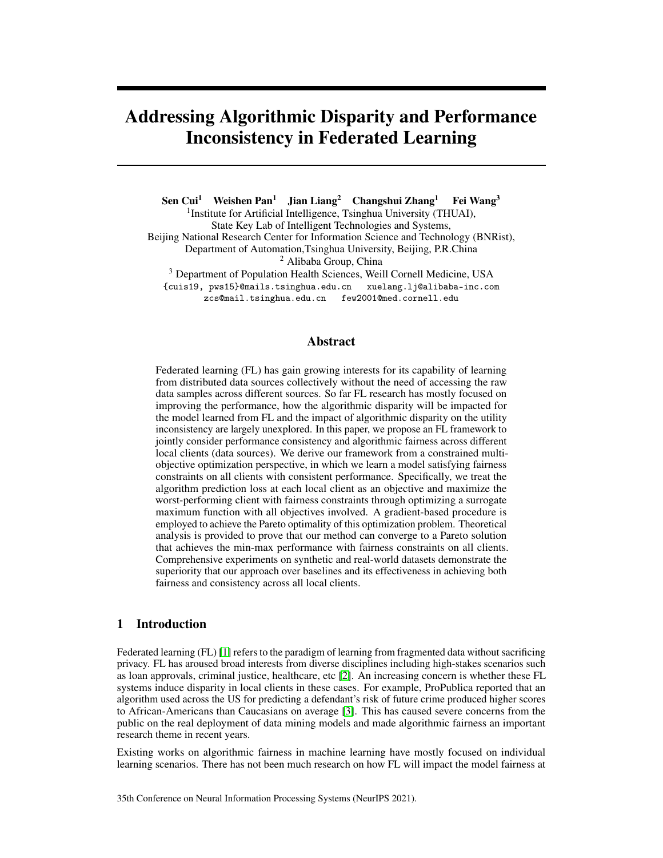(2) if  $h_{\theta^t}$  violates the fairness constraint, we aim to the descent of  $\hat{g}^{\vartheta}_m(h_{\theta^t}, \delta_g^t)$  without causing the ascent of  $\hat{l} _{m} (h _{\theta ^t } , \delta ^t _l )$  :

<span id="page-6-0"></span>
$$
\min_{d\,2\overline{G}} d^T \Gamma_{\theta t} \hat{g}^{\theta}, \quad \text{s.t. } d^T \Gamma_{\theta t} \hat{l} \quad 0. \tag{13a}
$$

If the obtained gradient d satisfies  $jjdjj^2$   $\epsilon_d$ , we decrease the parameter  $\delta_t^t$ ,  $\delta_g^t$  as:

$$
\delta_t^{t+1} = \beta \quad \delta_t^t, \ \delta_g^{t+1} = \beta \quad \delta_g^t \qquad \text{if } j \, d j^2 \quad \epsilon_d
$$
\n
$$
\delta_t^{t+1} = \delta_t^t, \ \delta_g^{t+1} = \delta_g^t \qquad \qquad \text{otherwise}, \tag{14}
$$

where  $\beta$  is the decay ratio that  $0 < \beta < 1$ . From Eq.[\(14\)](#page-6-0), we narrow the gap between  $\hat{l}_m(h, \delta_l)$  and  $l_{max}(h)$  by decreasing the parameter  $\delta_l$  as every time the algorithm approaches convergence. From Eq.[\(12\)](#page-5-5) and Eq.[\(13\)](#page-5-6), we optimize either  $\hat{l}_m$  or  $\hat{g}^0_m$  and keep  $\hat{l}_m$  without ascent in each iteration.

### 4.4 Achieving Pareto Optimality *and* Min-Max Performance with MCF

As the model  $h_{\theta}^1 \supseteq H^{FU}$  obtained from constrained min-max optimization cannot guarantee Pareto optimality, we continue to optimize  $h_{\theta}^1$  to be a Pareto model without causing the utility descent on any client. We propose a constrained linear scalarization objective to reach a Pareto model and the t-th iteration is formulated as follows:

$$
\min_{d\bar{Q}} \frac{1}{N} \sum_{i=1}^{N} d^T \Gamma_{\theta^t} l_i
$$
\n(15a)

$$
\text{s.t.} \quad d^T \Gamma_{\theta^t} l_i \quad 0 \quad \text{Si } 2 \text{ } \mathcal{F}1,., Ng \tag{15b}
$$

$$
d^T \wedge_{\theta^t} \hat{g}_{m}^0 = 0, \tag{15c}
$$

where  $G = [r_{\theta}l_1, r_{\theta}l_2, \dots r_{\theta}l_N, r_{\theta}g_1, r_{\theta}g_2, \dots, r_{\theta}g_N]$  and G is the convex hull of G. The nonpositive angle of d with each gradient  $\int e^{i\theta} e^{i\theta}$  ensures that all objective values decrease. Similarly, if we aim to reach the Pareto solution without causing utility descent only on the worst performing client, the constraint in Eq.[\(15b\)](#page-5-4) is replaced by  $d^T \Gamma_{\theta^t} \hat{l} = 0$ .

Different from constrained min-max optimization in Section [4.3](#page-5-7) where the objective to be optimized in each iteration depends on whether  $\tilde{g}_m(h_{\theta^t}, \delta_g^t)$  0, in constrained Pareto optimization procedure, as we have achieved MCF, we optimize the objective in Eq. $(15)$  for a dominate model in each iteration. Specifically, we restrict  $\hat{g}^0_m$  0 to keep fairness on each client given the reached hypothesis  $\bar{h}^1$  2  $H^{FU}$ . Meanwhile, we constrain  $l_i(\bar{h})$  to descend or remain unchanged until any objective cannot be further minimized. Algorithm 1 in Appendix shows all steps of our method. The convergence analysis and the time complexity analysis of our framework are in Appendix. Moreover, we also present our discussion about the fairness budget  $\epsilon$  in Appendix.

# 5 Experiments

We intuitively demonstrate the behavior of our method by conducting experiments on synthetic data. For the experiments on two real-world federated datasets with fairness issues, we select two different settings to verify the effectiveness of our method: (1) assign equal fairness budgets for all local clients; (2) assign client-specific fairness budgets. More experimental results and detailed implementation are in Appendix.

### 5.1 Experimental Setup

Federated Datasets (1) Synthetic dataset: following the setting in [\[30,](#page-10-18) [23\]](#page-10-11), the synthetic data is from two given non-convex objectives; (2) UCI *Adult* dataset [\[5\]](#page-9-6): *Adult* contains more than 40000 adult records and the task is to predict whether an individual earns more than 50K/year given other features. Following the federated setting in [\[4,](#page-9-5) [5\]](#page-9-6), we split the dataset into two clients. One is PhD client in which all individuals are PhDs and the other is non-PhD client. In our experiments, we select *race* and *gender* as sensitive attributes, respectively. (3)*eICU* dataset: We select [\[31\]](#page-10-19), a clinical dataset collecting patients about their admissions to ICUs with hospital information. Each instance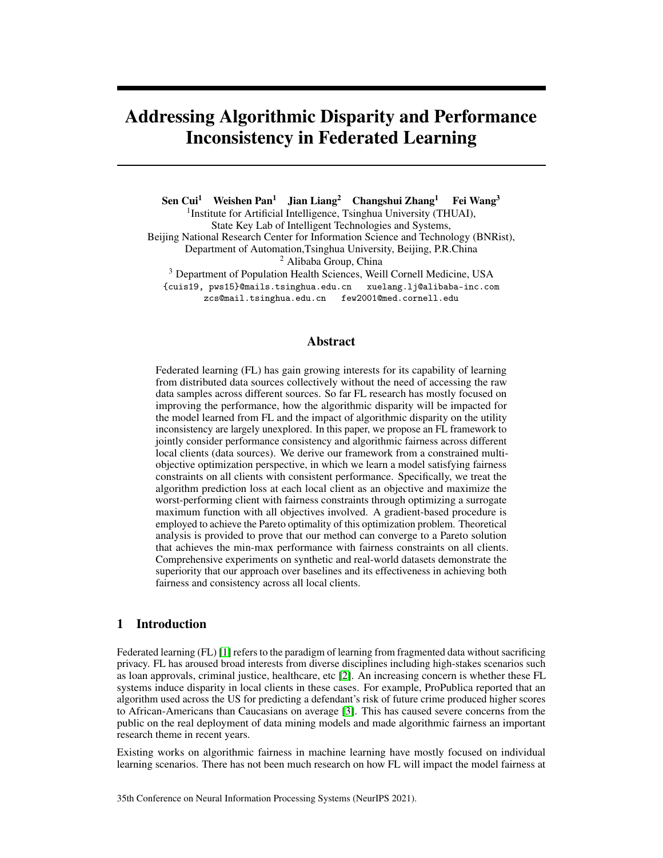is a specific ICU stay. We follow the data preprocessing procedure in [\[32\]](#page-10-20) and naturally treat 11 hospitals as 11 local clients in federated networks. We conduct the task of predicting the prolonged length of stay (whether the ICU stay is longer than  $1$  week, ) and select race as the sensitive attribute.

Evaluation Metrics (1) Utility metric: we use *accuracy* to measure the model utility in our experiments; (2) Disparity metrics: our method is compatible with various of fairness metrics. In our experiments, we select two metrics (marginal-based metric *Demographic Parity* [\[8\]](#page-9-7) and conditionalbased metric *Equal Opportunity* [\[9\]](#page-9-8) (The results of *Equal Opportunity* are in the Appendix) to measure the disparities defined in Eq.[\(2\)](#page-3-0); (3) Consistency: following the work  $[4, 5]$  $[4, 5]$  $[4, 5]$ , we use the utility on the worst-performing client to measure consistency.

Baselines As we do not find prior works proposed for achieving fairness in each client, we select FA [\[6\]](#page-9-3), MMPF [\[24\]](#page-10-12) and build FedAve+FairReg as baselines in our experiments. For all baselines, we try to train the models to achieve the optimal utility with fairness constraints. If the model cannot satisfy the fairness constraints, we keep the minimum of disparities with reasonable utilities. (1) MMPF [\[24\]](#page-10-12), Martinez *et al.* develop MMPF which optimizes all objectives on convex assumption to induce a min-max utility of all groups; (2) FA [\[6\]](#page-9-3), Du *et al.* propose FA, a kernel-based model-agnostic method with regularizations for addressing fairness problem on a new unknown client instead of all involved clients; (3) FedAve+FairReg, we build FedAve+FairReg, which optimizes the linear scalarized objective with the fairness regularizations of all clients.

#### 5.2 Experiments on Synthetic Dataset

<span id="page-7-2"></span>

<span id="page-7-3"></span><span id="page-7-1"></span>(a)  $\theta^0$  violates the constraints(b)  $\theta^0$  satisfies the constraints

Figure 2: Optimization trajectories of FCFL in  $n = 20$ dimensional solution space ( $\theta \neq 2 \mathbb{R}^{20}$ ). The initialization violates fairness constrains (left) and satisfies fairness constraints (right).

Following the setting in [\[30,](#page-10-18) [23\]](#page-10-11), the synthetic data is from the two non-convex objectives to be minimized in Eq.[\(16\)](#page-7-0) and the Pareto Front of the two objectives is also non-convex.

<span id="page-7-0"></span>
$$
l_1(\theta) = 1
$$
  $e \left\| \theta \frac{1}{\sqrt{n}} \right\|_2^2$   
\n $l_2(\theta) = 1$   $e \left\| \theta + \frac{1}{\sqrt{n}} \right\|_2^2$  (16)

Non-convex Pareto Front means that linear scalarization methods (e.g., FedAve) miss any solution in the concave part of the Pareto Front. In this experiment, we optimize  $l_1$  under the constraint  $l_2$ 

 $\epsilon, \epsilon \ge 70.2, 0.4, 0.6, 0.8g$ . Considering the effect of the initialization in our experiment, we conduct experiments when the initialization  $\theta^0$  satisfies the constraints and violates the constraints.

From the results in Figure [2,](#page-7-1) when the initialization  $\theta_0$  violates the constraints in Figure [2\(a\),](#page-7-2) the objective  $l_2$  decreases in each step until it satisfies the constraint and finally FCFL reaches the constrained optimal  $l_1(h)$ . As the initialization  $\theta_0$  satisfies the constraints in Figure [2\(b\),](#page-7-3) our method focuses on optimizing  $l_1$  until it achieves the optimal  $l_1(h)$  with the constraint  $l_2$ 

#### 5.3 Experiments on Real-world Datasets with Equal Fairness Budgets



<span id="page-7-4"></span>Figure 3: The disparities and accuracies on both clients as  $\epsilon = 0.05$  (top) and as  $\epsilon = 0.01$  of on Adult dataset when *race* is the sensitive attribute.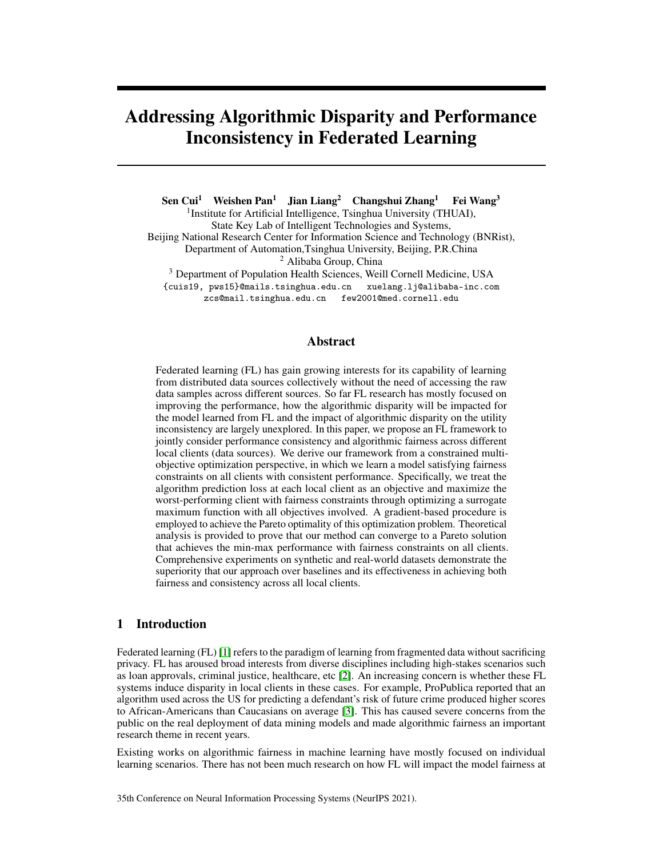#### 5.3.1 Income Prediction on Adult Dataset

We show the results with the sensitive attribute being *race* in our main text and the results when *gender* is the sensitive attribute are in Appendix. We set the fairness budgets defined in Eq.[\(1\)](#page-2-0) in two different cases, (1) looser constraint:  $DP_i \quad \epsilon_i = 0.05 \& 2 \rceil, \ldots, Ng$ ; (2) stricter constraint:  $DP_i$   $\epsilon_i = 0.01$   $\&i$  2  $\ell$ 1, ., Ng.

From Figure [3,](#page-7-4) FCFL achieves min-max performance on PhD client in the two cases with MCF. MMPF fails to achieve MCF as  $\epsilon_i = 0.05$ . FA and FedAve+FairReg achieve MCF with  $\epsilon_i = 0.05$ but violate fairness constraint as  $\epsilon_i = 0.01$ . From Figure [3,](#page-7-4) our method achieves a comparable performance on non-PhD client compared to baselines.

### 5.3.2 Prolonged Length of Stay Prediction on eICU Dataset

The length of the patient's hospitalization is critical for the arrangement of the medical institutions as it is related to the allocation of limited ICU resources. We conduct experiments on the prediction of prolonged length of stay(whether the ICU stay is longer than 1 week) on eICU dataset. We use *race* as sensitive attribute and set the fairness budgets defined in Eq.[\(1\)](#page-2-0) in two cases: (1) looser constraint:  $DP_i$   $\epsilon_i = 0.1$   $\partial i \partial f$ , ., Ng; (2) stricter constraint:  $DP_i$   $\epsilon_i = 0.05$   $\partial i \partial f$ , ., Ng



<span id="page-8-0"></span>Figure 4: Experiments on LoS Prediction task with the sensitive attribute being *race*. The points in each figure denote the clients and X and Y coordinates of the points denote the disparities and the accuracies, respectively.

From Figure [4,](#page-8-0) our method achieves min-max performance with fairness budget  $\epsilon = 0.1$  compared to the baselines. When we constrain  $DP_i$  0.05  $\delta i$ , all baselines fail to satisfy the constraints and the disparities are about 0.1 while our method significantly decreases the disparities and the maximum of the disparities is 0.68. Besides, we maintain comparable utilities on all clients compared to baselines.

#### 5.4 Experiments with Client-Specific Fairness Budgets

Data heterogeneity encourages the different levels of the disparities on different clients. Consistent fairness budgets can cause unexpected hurt on some specific clients with severe disparities. We explore the performance of our method given client-specific fairness budgets. Specifically, we firstly conduct unconstrained min-max experiments and measure the original disparities  $DP =$  $[DP_1, \ldots, DP_N]$  on all clients, then we constrain the model disparities based on the original disparities of all clients, i.e.,  $[\epsilon_1, \epsilon_2, \ldots, \epsilon_N] = w$   $DP, w \, 2 \, 71.0, 0.9, 0.8, \ldots, 0.2g$ . disparities of all clients, i.e.,  $[\epsilon_1, \epsilon_2, \ldots, \epsilon_N] = w$ 

<span id="page-8-1"></span>

(a) *Adult* Disparity − w (b) *Adult* Accuracy − w (c) *eICU* Disparity − w (d) *eICU* Accuracy − w

<span id="page-8-4"></span><span id="page-8-3"></span><span id="page-8-2"></span>Figure 5: Client-specific constraint experiment on Adult and eICU.

From Figure [5\(a\)](#page-8-1) and Figure [5\(b\),](#page-8-2) we show the effect of the client-specific fairness budgets on model disparities and utilities. The decreasing  $w$  means the stricter constraints on both clients and FCFL reduces the disparities significantly as shown in Figure [5\(a\).](#page-8-1) With the stricter client-specific constraints on both clients, the utilities on both clients decrease slightly as shown in Figure [5\(b\),](#page-8-2)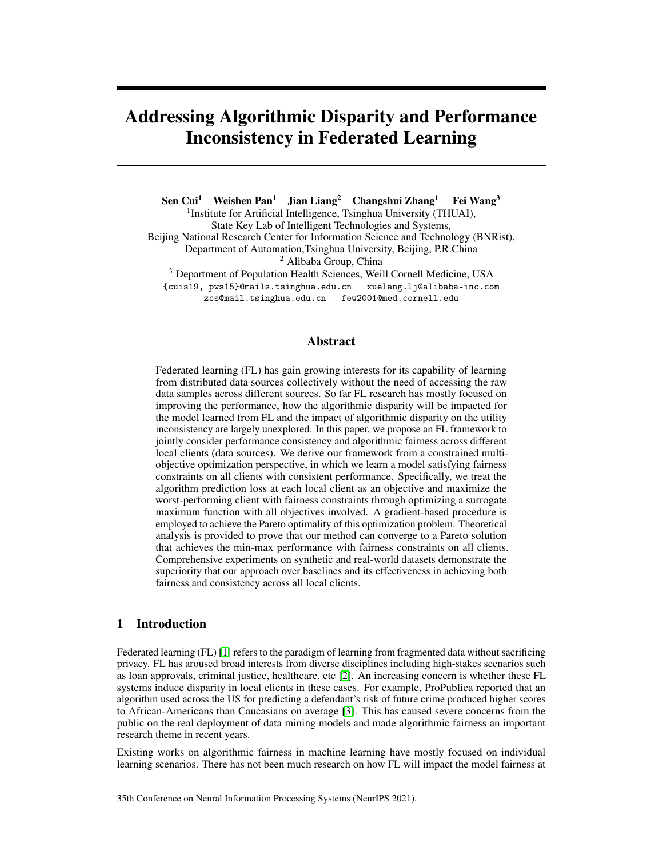which implies that FCFL achieves a great balance between the fairness and the utility of all clients. FCFL is compatible with client-specific fairness budgets which enhances its flexibility and avoids severe hurt to the specific clients.

The results of LoS prediction task with client-specific fairness budgets are shown in Figure [5\(c\)](#page-8-3) and Figure [5\(d\).](#page-8-4) As w decreases from 1.0 to 0.2, the maximum of all client disparities in Figure [5\(c\)](#page-8-3) decrease from 0.2 to 0.05 which means the model becomes fairer on all clients. Figure [5\(d\)](#page-8-4) shows the minimum of the utilities which slightly decreases from 0.62 to 0.6 and our method achieves an acceptable trade-off between model fairness and utility as the amount of clients increases in this task.

### 6 Conclusion

In this paper, we investigate the consistency and fairness issues in federated networks as the learned model deployed on local clients can cause inconsistent performances and disparities without elaborate design. We propose a novel method called FCFL to overcome the disparity and inconsistency concerns in the favored direction of gradient-based constrained multi-objective optimization. Comprehensive empirical evaluation results measured by quantitative metrics demonstrate the effectiveness, superiority, and reliability of our proposed method.

# Acknowledgments

Sen Cui, Weishen Pan and Changshui Zhang would like to acknowledge the funding by the National Key Research and Development Program of China (No. 2018AAA0100701). Fei Wang acknowledges the support from AWS Machine Learning for Research Award and Google Faculty Research Award.

### **References**

- <span id="page-9-0"></span>[1] Qiang Yang, Yang Liu, Yong Cheng, Yan Kang, Tianjian Chen, and Han Yu. Federated learning. *Synthesis Lectures on Artificial Intelligence and Machine Learning*, 13(3):1–207, 2019.
- <span id="page-9-1"></span>[2] Jie Xu, Benjamin S Glicksberg, Chang Su, Peter Walker, Jiang Bian, and Fei Wang. Federated learning for healthcare informatics. *Journal of Healthcare Informatics Research*, pages 1–19, 2020.
- <span id="page-9-2"></span>[3] Julia Angwin, Jeff Larson, Surya Mattu, and Lauren Kirchner. Machine bias: There's software used across the country to predict future criminals. *And it's biased against blacks. ProPublica*, 23, 2016.
- <span id="page-9-5"></span>[4] Tian Li, Maziar Sanjabi, Ahmad Beirami, and Virginia Smith. Fair resource allocation in federated learning. In *International Conference on Learning Representations*, 2019.
- <span id="page-9-6"></span>[5] Mehryar Mohri, Gary Sivek, and Ananda Theertha Suresh. Agnostic federated learning. In *International Conference on Machine Learning*, pages 4615–4625, 2019.
- <span id="page-9-3"></span>[6] Wei Du, Depeng Xu, Xintao Wu, and Hanghang Tong. Fairness-aware agnostic federated learning. *arXiv preprint arXiv:2010.05057*, 2020.
- <span id="page-9-4"></span>[7] Akhil Vaid, Suraj K Jaladanki, Jie Xu, Shelly Teng, Arvind Kumar, Samuel Lee, Sulaiman Somani, Ishan Paranjpe, Jessica K De Freitas, Tingyi Wanyan, et al. Federated learning of electronic health records improves mortality prediction in patients hospitalized with covid-19. *JMIR medical informatics*, 2021.
- <span id="page-9-7"></span>[8] Cynthia Dwork, Moritz Hardt, Toniann Pitassi, Omer Reingold, and Richard Zemel. Fairness through awareness. In *Proceedings of the 3rd innovations in theoretical computer science conference*, pages 214–226, 2012.
- <span id="page-9-8"></span>[9] Moritz Hardt, Eric Price, and Nathan Srebro. Equality of opportunity in supervised learning. In *Proceedings of the 30th International Conference on Neural Information Processing Systems*, pages 3323–3331, 2016.
- <span id="page-9-9"></span>[10] Brendan McMahan, Eider Moore, Daniel Ramage, Seth Hampson, and Blaise Aguera y Arcas. Communication-efficient learning of deep networks from decentralized data. In *Artificial Intelligence and Statistics*, pages 1273–1282. PMLR, 2017.
- <span id="page-9-10"></span>[11] Weishen Pan, Sen Cui, Jiang Bian, Changshui Zhang, and Fei Wang. Explaining algorithmic fairness through fairness-aware causal path decomposition. In *Proceedings of the 27th ACM SIGKDD Conference on Knowledge Discovery & Data Mining*, pages 1287–1297, 2021.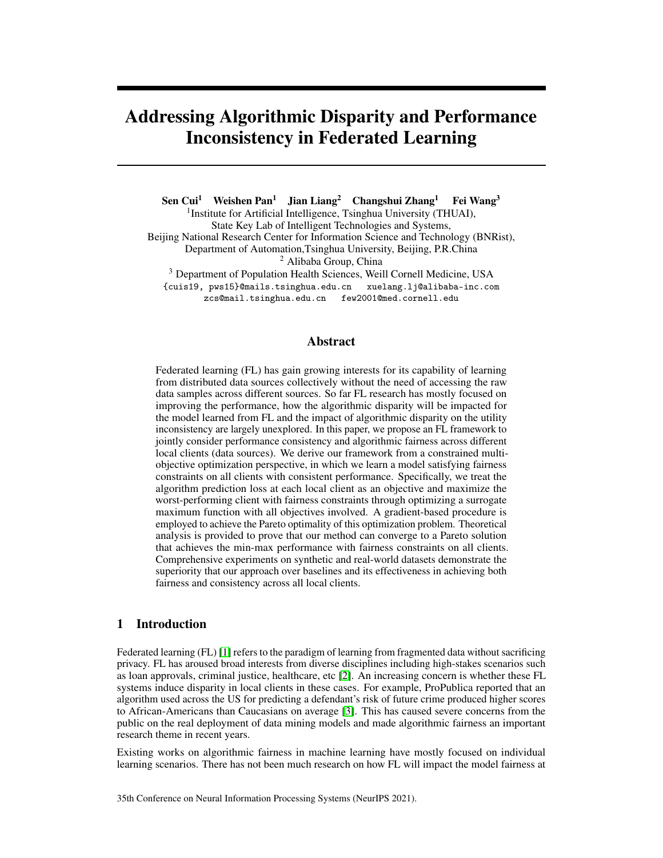- <span id="page-10-0"></span>[12] Sen Cui, Weishen Pan, Changshui Zhang, and Fei Wang. Towards model-agnostic post-hoc adjustment for balancing ranking fairness and algorithm utility. In *Proceedings of the 27th ACM SIGKDD Conference on Knowledge Discovery & Data Mining*, pages 207–217, 2021.
- <span id="page-10-1"></span>[13] Nathan Kallus and Angela Zhou. The fairness of risk scores beyond classification: Bipartite ranking and the xauc metric. In *Advances in Neural Information Processing Systems*, pages 3433–3443, 2019.
- <span id="page-10-2"></span>[14] Alex Beutel, Jilin Chen, Zhe Zhao, and Ed H Chi. Data decisions and theoretical implications when adversarially learning fair representations. *arXiv preprint arXiv:1707.00075*, 2017.
- <span id="page-10-3"></span>[15] Christos Louizos, Kevin Swersky, Yujia Li, Max Welling, and Richard Zemel. The variational fair autoencoder. *arXiv preprint arXiv:1511.00830*, 2015.
- <span id="page-10-4"></span>[16] David Madras, Elliot Creager, Toniann Pitassi, and Richard Zemel. Learning adversarially fair and transferable representations. In *International Conference on Machine Learning*, pages 3384–3393, 2018.
- <span id="page-10-5"></span>[17] Rich Zemel, Yu Wu, Kevin Swersky, Toni Pitassi, and Cynthia Dwork. Learning fair representations. In *International Conference on Machine Learning*, pages 325–333, 2013.
- <span id="page-10-6"></span>[18] Brian Hu Zhang, Blake Lemoine, and Margaret Mitchell. Mitigating unwanted biases with adversarial learning. In *Proceedings of the 2018 AAAI/ACM Conference on AI, Ethics, and Society*, pages 335–340, 2018.
- <span id="page-10-7"></span>[19] Toshihiro Kamishima, Shotaro Akaho, and Jun Sakuma. Fairness-aware learning through regularization approach. In *2011 IEEE 11th International Conference on Data Mining Workshops*, pages 643–650. IEEE, 2011.
- <span id="page-10-8"></span>[20] Muhammad Bilal Zafar, Isabel Valera, Manuel Gomez Rodriguez, and Krishna P Gummadi. Fairness constraints: Mechanisms for fair classification. *arXiv preprint arXiv:1507.05259*, 2015.
- <span id="page-10-9"></span>[21] Alex Beutel, Jilin Chen, Tulsee Doshi, Hai Qian, Allison Woodruff, Christine Luu, Pierre Kreitmann, Jonathan Bischof, and Ed H Chi. Putting fairness principles into practice: Challenges, metrics, and improvements. In *Proceedings of the 2019 AAAI/ACM Conference on AI, Ethics, and Society*, pages 453–459, 2019.
- <span id="page-10-10"></span>[22] Zhao Chen, Vijay Badrinarayanan, Chen-Yu Lee, and Andrew Rabinovich. Gradnorm: Gradient normalization for adaptive loss balancing in deep multitask networks. In *International Conference on Machine Learning*, pages 794–803. PMLR, 2018.
- <span id="page-10-11"></span>[23] Debabrata Mahapatra and Vaibhav Rajan. Multi-task learning with user preferences: Gradient descent with controlled ascent in pareto optimization. In *International Conference on Machine Learning*, pages 6597–6607. PMLR, 2020.
- <span id="page-10-12"></span>[24] Natalia Martinez, Martin Bertran, and Guillermo Sapiro. Minimax pareto fairness: A multi objective perspective. In *International Conference on Machine Learning*, pages 6755–6764. PMLR, 2020.
- <span id="page-10-13"></span>[25] CA Coello Coello. Evolutionary multi-objective optimization: a historical view of the field. *IEEE computational intelligence magazine*, 1(1):28–36, 2006.
- <span id="page-10-14"></span>[26] Yu G Evtushenko and MA Posypkin. A deterministic algorithm for global multi-objective optimization. *Optimization Methods and Software*, 29(5):1005–1019, 2014.
- <span id="page-10-15"></span>[27] Adrien Zerbinati, Jean-Antoine Desideri, and Régis Duvigneau. Comparison between mgda and paes for multi-objective optimization. 2011.
- <span id="page-10-16"></span>[28] Jean-Antoine Désidéri. Multiple-gradient descent algorithm (mgda) for multiobjective optimization. *Comptes Rendus Mathematique*, 350(5-6):313–318, 2012.
- <span id="page-10-17"></span>[29] E Polak, JO Royset, and RS Womersley. Algorithms with adaptive smoothing for finite minimax problems. *Journal of Optimization Theory and Applications*, 119(3):459–484, 2003.
- <span id="page-10-18"></span>[30] Xi Lin, Hui-Ling Zhen, Zhenhua Li, Qing-Fu Zhang, and Sam Kwong. Pareto multi-task learning. In *Advances in Neural Information Processing Systems*, pages 12060–12070, 2019.
- <span id="page-10-19"></span>[31] Tom J Pollard, Alistair EW Johnson, Jesse D Raffa, Leo A Celi, Roger G Mark, and Omar Badawi. The eicu collaborative research database, a freely available multi-center database for critical care research. *Scientific data*, 5(1):1–13, 2018.
- <span id="page-10-20"></span>[32] Alistair E. W. Johnson, Tom J. Pollard, and Tristan Naumann. Generalizability of predictive models for intensive care unit patients. *Machine Learning for Health (ML4H) Workshop at NeurIPS 2018*, 2018.